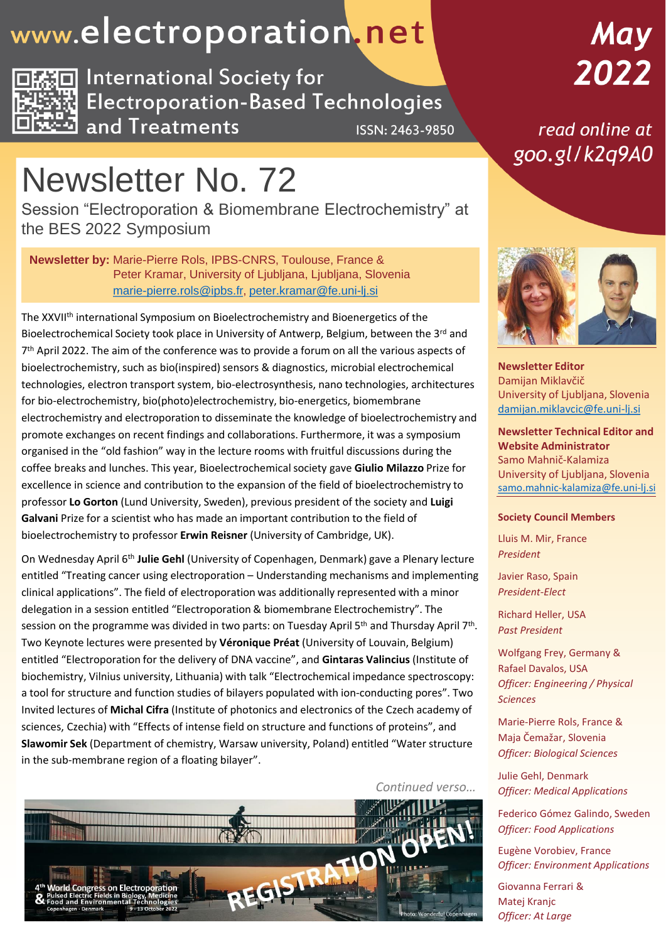### www.electroporation.net



**International Society for Electroporation-Based Technologies** and Treatments ISSN: 2463-9850

# May 2022

read online at goo.gl/k2q9A0

### Newsletter No. 72

Session "Electroporation & Biomembrane Electrochemistry" at the BES 2022 Symposium

**Newsletter by:** Marie-Pierre Rols, IPBS-CNRS, Toulouse, France & Peter Kramar, University of Ljubljana, Ljubljana, Slovenia [marie-pierre.rols@ipbs.fr,](mailto:marie-pierre.rols@ipbs.fr) [peter.kramar@fe.uni-lj.si](mailto:peter.kramar@fe.uni-lj.si)

The XXVIIth international Symposium on Bioelectrochemistry and Bioenergetics of the Bioelectrochemical Society took place in University of Antwerp, Belgium, between the 3<sup>rd</sup> and 7<sup>th</sup> April 2022. The aim of the conference was to provide a forum on all the various aspects of bioelectrochemistry, such as bio(inspired) sensors & diagnostics, microbial electrochemical technologies, electron transport system, bio-electrosynthesis, nano technologies, architectures for bio-electrochemistry, bio(photo)electrochemistry, bio-energetics, biomembrane electrochemistry and electroporation to disseminate the knowledge of bioelectrochemistry and promote exchanges on recent findings and collaborations. Furthermore, it was a symposium organised in the "old fashion" way in the lecture rooms with fruitful discussions during the coffee breaks and lunches. This year, Bioelectrochemicalsociety gave **Giulio Milazzo** Prize for excellence in science and contribution to the expansion of the field of bioelectrochemistry to professor **Lo Gorton** (Lund University, Sweden), previous president of the society and **Luigi Galvani** Prize for a scientist who has made an important contribution to the field of bioelectrochemistry to professor **Erwin Reisner** (University of Cambridge, UK).

On Wednesday April 6th **Julie Gehl** (University of Copenhagen, Denmark) gave a Plenary lecture entitled "Treating cancer using electroporation – Understanding mechanisms and implementing clinical applications". The field of electroporation was additionally represented with a minor delegation in a session entitled "Electroporation & biomembrane Electrochemistry". The session on the programme was divided in two parts: on Tuesday April 5<sup>th</sup> and Thursday April 7<sup>th</sup>. Two Keynote lectures were presented by **Véronique Préat** (University of Louvain, Belgium) entitled "Electroporation for the delivery of DNA vaccine", and **Gintaras Valincius** (Institute of biochemistry, Vilnius university, Lithuania) with talk "Electrochemical impedance spectroscopy: a tool for structure and function studies of bilayers populated with ion-conducting pores". Two Invited lectures of **Michal Cifra** (Institute of photonics and electronics of the Czech academy of sciences, Czechia) with "Effects of intense field on structure and functions of proteins", and **Slawomir Sek** (Department of chemistry, Warsaw university, Poland) entitled "Water structure in the sub-membrane region of a floating bilayer".





**Newsletter Editor** Damijan Miklavčič University of Ljubljana, Slovenia [damijan.miklavcic@fe.uni-lj.si](mailto:damijan.miklavcic@fe.uni-lj.si)

**Newsletter Technical Editor and Website Administrator** Samo Mahnič-Kalamiza University of Ljubljana, Slovenia [samo.mahnic-kalamiza@fe.uni-lj.si](mailto:samo.mahnic-kalamiza@fe.uni-lj.si)

#### **Society Council Members**

Lluis M. Mir, France *President*

Javier Raso, Spain *President-Elect*

Richard Heller, USA *Past President*

Wolfgang Frey, Germany & Rafael Davalos, USA *Officer: Engineering / Physical Sciences*

Marie-Pierre Rols, France & Maja Čemažar, Slovenia *Officer: Biological Sciences*

Julie Gehl, Denmark *Officer: Medical Applications*

Federico Gómez Galindo, Sweden *Officer: Food Applications*

Eugène Vorobiev, France *Officer: Environment Applications*

Giovanna Ferrari & Matej Kranjc *Officer: At Large*